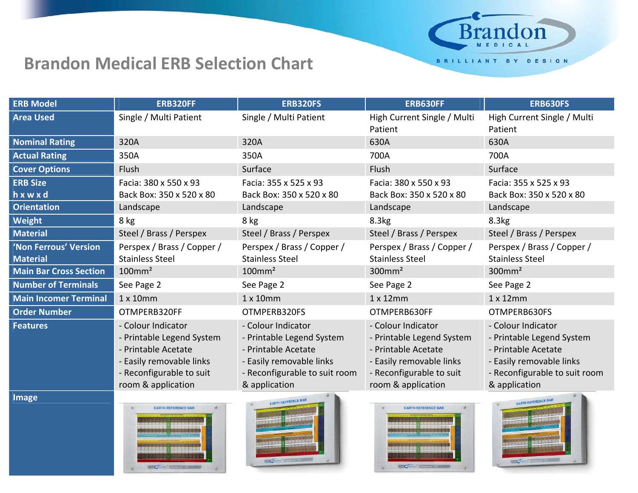## **Brandon Medical ERB Selection Chart**

| <b>ERB Model</b>                         | <b>ERB320FF</b>                                                                                                                                      | <b>ERB320FS</b>                                                                                                                                      | <b>ERB630FF</b>                                                                                                                                      | <b>ERB630FS</b>                                                                                                                                      |
|------------------------------------------|------------------------------------------------------------------------------------------------------------------------------------------------------|------------------------------------------------------------------------------------------------------------------------------------------------------|------------------------------------------------------------------------------------------------------------------------------------------------------|------------------------------------------------------------------------------------------------------------------------------------------------------|
| <b>Area Used</b>                         | Single / Multi Patient                                                                                                                               | Single / Multi Patient                                                                                                                               | High Current Single / Multi<br>Patient                                                                                                               | High Current Single / Multi<br>Patient                                                                                                               |
| <b>Nominal Rating</b>                    | 320A                                                                                                                                                 | 320A                                                                                                                                                 | 630A                                                                                                                                                 | 630A                                                                                                                                                 |
| <b>Actual Rating</b>                     | 350A                                                                                                                                                 | 350A                                                                                                                                                 | 700A                                                                                                                                                 | 700A                                                                                                                                                 |
| <b>Cover Options</b>                     | Flush                                                                                                                                                | Surface                                                                                                                                              | Flush                                                                                                                                                | Surface                                                                                                                                              |
| <b>ERB Size</b>                          | Facia: 380 x 550 x 93                                                                                                                                | Facia: 355 x 525 x 93                                                                                                                                | Facia: 380 x 550 x 93                                                                                                                                | Facia: 355 x 525 x 93                                                                                                                                |
| hxwxd                                    | Back Box: 350 x 520 x 80                                                                                                                             | Back Box: 350 x 520 x 80                                                                                                                             | Back Box: 350 x 520 x 80                                                                                                                             | Back Box: 350 x 520 x 80                                                                                                                             |
| <b>Orientation</b>                       | Landscape                                                                                                                                            | Landscape                                                                                                                                            | Landscape                                                                                                                                            | Landscape                                                                                                                                            |
| Weight                                   | 8 kg                                                                                                                                                 | 8 kg                                                                                                                                                 | 8.3 <sub>kg</sub>                                                                                                                                    | 8.3kg                                                                                                                                                |
| <b>Material</b>                          | Steel / Brass / Perspex                                                                                                                              | Steel / Brass / Perspex                                                                                                                              | Steel / Brass / Perspex                                                                                                                              | Steel / Brass / Perspex                                                                                                                              |
| 'Non Ferrous' Version<br><b>Material</b> | Perspex / Brass / Copper /<br><b>Stainless Steel</b>                                                                                                 | Perspex / Brass / Copper /<br><b>Stainless Steel</b>                                                                                                 | Perspex / Brass / Copper /<br><b>Stainless Steel</b>                                                                                                 | Perspex / Brass / Copper /<br><b>Stainless Steel</b>                                                                                                 |
| <b>Main Bar Cross Section</b>            | $100$ mm <sup>2</sup>                                                                                                                                | $100$ mm <sup>2</sup>                                                                                                                                | $300$ mm <sup>2</sup>                                                                                                                                | $300$ mm <sup>2</sup>                                                                                                                                |
| <b>Number of Terminals</b>               | See Page 2                                                                                                                                           | See Page 2                                                                                                                                           | See Page 2                                                                                                                                           | See Page 2                                                                                                                                           |
| <b>Main Incomer Terminal</b>             | $1 \times 10$ mm                                                                                                                                     | 1x10mm                                                                                                                                               | 1x12mm                                                                                                                                               | $1 \times 12$ mm                                                                                                                                     |
| <b>Order Number</b>                      | OTMPERB320FF                                                                                                                                         | OTMPERB320FS                                                                                                                                         | OTMPERB630FF                                                                                                                                         | OTMPERB630FS                                                                                                                                         |
| <b>Features</b>                          | - Colour Indicator<br>- Printable Legend System<br>- Printable Acetate<br>- Easily removable links<br>- Reconfigurable to suit<br>room & application | - Colour Indicator<br>- Printable Legend System<br>- Printable Acetate<br>- Easily removable links<br>- Reconfigurable to suit room<br>& application | - Colour Indicator<br>- Printable Legend System<br>- Printable Acetate<br>- Easily removable links<br>- Reconfigurable to suit<br>room & application | - Colour Indicator<br>- Printable Legend System<br>- Printable Acetate<br>- Easily removable links<br>- Reconfigurable to suit room<br>& application |
| <b>Image</b>                             |                                                                                                                                                      | <b>ARCHEMENCE BAR</b>                                                                                                                                |                                                                                                                                                      | <b>APPRENCE BAR</b>                                                                                                                                  |

| <b>Contract Advised Association</b> | <b>LEASE SENSEY FINISHED BOONS</b> |                                  |        | <b>Manager Street, Manager Street</b> | ٠   |
|-------------------------------------|------------------------------------|----------------------------------|--------|---------------------------------------|-----|
|                                     |                                    |                                  |        |                                       |     |
|                                     |                                    |                                  |        |                                       |     |
|                                     |                                    | m                                |        |                                       |     |
|                                     | ,,,,,,,,,,,,,,,,,,,,,,,,,,,,,      |                                  |        | <b>PERSONAL</b><br>- -                |     |
|                                     |                                    | And I will sick with second when |        |                                       |     |
| m                                   | w                                  |                                  |        | and alley you and you are.            |     |
|                                     |                                    |                                  |        |                                       |     |
|                                     |                                    |                                  | - 1779 | <b>COLLEGE</b>                        |     |
|                                     |                                    |                                  |        |                                       | ys. |







**Brandon** 

BRILLIANT BY DESIGN